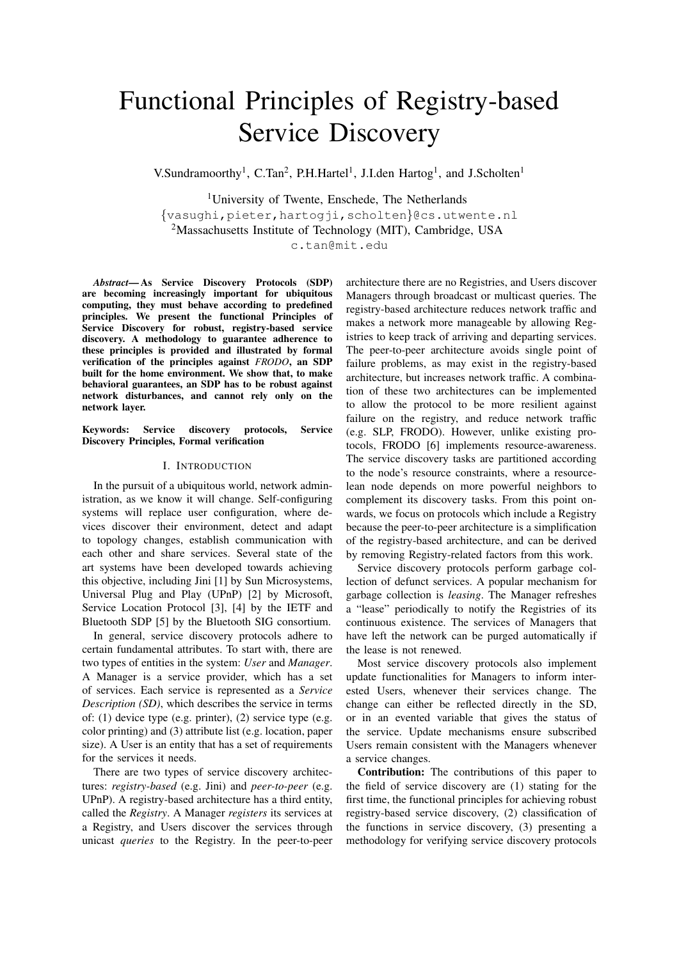# Functional Principles of Registry-based Service Discovery

V.Sundramoorthy<sup>1</sup>, C.Tan<sup>2</sup>, P.H.Hartel<sup>1</sup>, J.I.den Hartog<sup>1</sup>, and J.Scholten<sup>1</sup>

<sup>1</sup>University of Twente, Enschede, The Netherlands {vasughi,pieter,hartogji,scholten}@cs.utwente.nl <sup>2</sup>Massachusetts Institute of Technology (MIT), Cambridge, USA

c.tan@mit.edu

*Abstract*— As Service Discovery Protocols (SDP) are becoming increasingly important for ubiquitous computing, they must behave according to predefined principles. We present the functional Principles of Service Discovery for robust, registry-based service discovery. A methodology to guarantee adherence to these principles is provided and illustrated by formal verification of the principles against *FRODO*, an SDP built for the home environment. We show that, to make behavioral guarantees, an SDP has to be robust against network disturbances, and cannot rely only on the network layer.

Keywords: Service discovery protocols, Service Discovery Principles, Formal verification

## I. INTRODUCTION

In the pursuit of a ubiquitous world, network administration, as we know it will change. Self-configuring systems will replace user configuration, where devices discover their environment, detect and adapt to topology changes, establish communication with each other and share services. Several state of the art systems have been developed towards achieving this objective, including Jini [1] by Sun Microsystems, Universal Plug and Play (UPnP) [2] by Microsoft, Service Location Protocol [3], [4] by the IETF and Bluetooth SDP [5] by the Bluetooth SIG consortium.

In general, service discovery protocols adhere to certain fundamental attributes. To start with, there are two types of entities in the system: *User* and *Manager*. A Manager is a service provider, which has a set of services. Each service is represented as a *Service Description (SD)*, which describes the service in terms of: (1) device type (e.g. printer), (2) service type (e.g. color printing) and (3) attribute list (e.g. location, paper size). A User is an entity that has a set of requirements for the services it needs.

There are two types of service discovery architectures: *registry-based* (e.g. Jini) and *peer-to-peer* (e.g. UPnP). A registry-based architecture has a third entity, called the *Registry*. A Manager *registers* its services at a Registry, and Users discover the services through unicast *queries* to the Registry. In the peer-to-peer

architecture there are no Registries, and Users discover Managers through broadcast or multicast queries. The registry-based architecture reduces network traffic and makes a network more manageable by allowing Registries to keep track of arriving and departing services. The peer-to-peer architecture avoids single point of failure problems, as may exist in the registry-based architecture, but increases network traffic. A combination of these two architectures can be implemented to allow the protocol to be more resilient against failure on the registry, and reduce network traffic (e.g. SLP, FRODO). However, unlike existing protocols, FRODO [6] implements resource-awareness. The service discovery tasks are partitioned according to the node's resource constraints, where a resourcelean node depends on more powerful neighbors to complement its discovery tasks. From this point onwards, we focus on protocols which include a Registry because the peer-to-peer architecture is a simplification of the registry-based architecture, and can be derived by removing Registry-related factors from this work.

Service discovery protocols perform garbage collection of defunct services. A popular mechanism for garbage collection is *leasing*. The Manager refreshes a "lease" periodically to notify the Registries of its continuous existence. The services of Managers that have left the network can be purged automatically if the lease is not renewed.

Most service discovery protocols also implement update functionalities for Managers to inform interested Users, whenever their services change. The change can either be reflected directly in the SD, or in an evented variable that gives the status of the service. Update mechanisms ensure subscribed Users remain consistent with the Managers whenever a service changes.

Contribution: The contributions of this paper to the field of service discovery are (1) stating for the first time, the functional principles for achieving robust registry-based service discovery, (2) classification of the functions in service discovery, (3) presenting a methodology for verifying service discovery protocols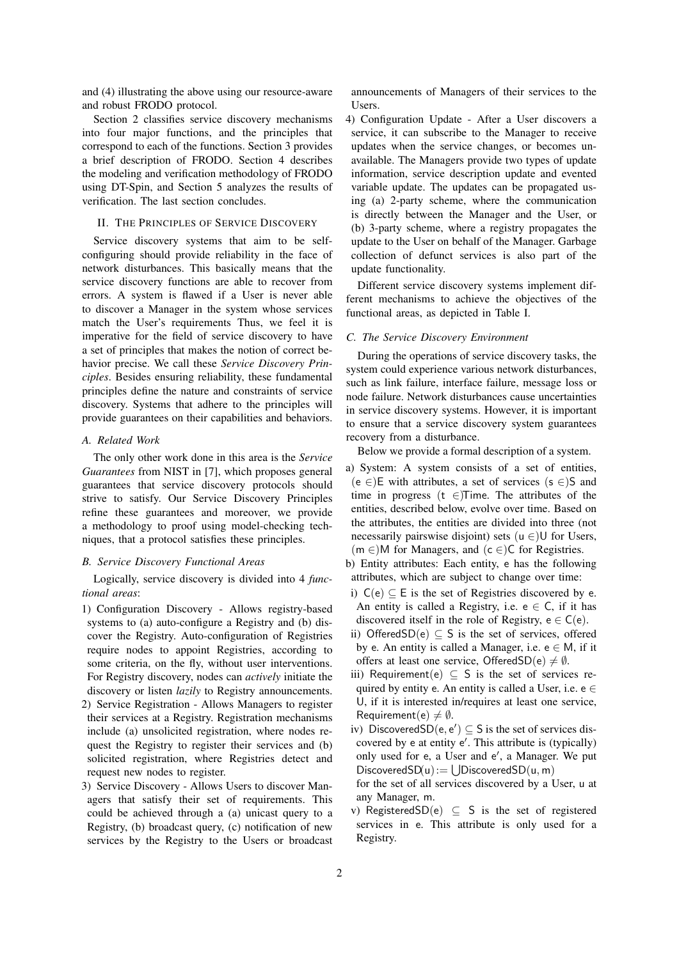and (4) illustrating the above using our resource-aware and robust FRODO protocol.

Section 2 classifies service discovery mechanisms into four major functions, and the principles that correspond to each of the functions. Section 3 provides a brief description of FRODO. Section 4 describes the modeling and verification methodology of FRODO using DT-Spin, and Section 5 analyzes the results of verification. The last section concludes.

# II. THE PRINCIPLES OF SERVICE DISCOVERY

Service discovery systems that aim to be selfconfiguring should provide reliability in the face of network disturbances. This basically means that the service discovery functions are able to recover from errors. A system is flawed if a User is never able to discover a Manager in the system whose services match the User's requirements Thus, we feel it is imperative for the field of service discovery to have a set of principles that makes the notion of correct behavior precise. We call these *Service Discovery Principles*. Besides ensuring reliability, these fundamental principles define the nature and constraints of service discovery. Systems that adhere to the principles will provide guarantees on their capabilities and behaviors.

## *A. Related Work*

The only other work done in this area is the *Service Guarantees* from NIST in [7], which proposes general guarantees that service discovery protocols should strive to satisfy. Our Service Discovery Principles refine these guarantees and moreover, we provide a methodology to proof using model-checking techniques, that a protocol satisfies these principles.

#### *B. Service Discovery Functional Areas*

Logically, service discovery is divided into 4 *functional areas*:

- 1) Configuration Discovery Allows registry-based systems to (a) auto-configure a Registry and (b) discover the Registry. Auto-configuration of Registries require nodes to appoint Registries, according to some criteria, on the fly, without user interventions. For Registry discovery, nodes can *actively* initiate the discovery or listen *lazily* to Registry announcements.
- 2) Service Registration Allows Managers to register their services at a Registry. Registration mechanisms include (a) unsolicited registration, where nodes request the Registry to register their services and (b) solicited registration, where Registries detect and request new nodes to register.
- 3) Service Discovery Allows Users to discover Managers that satisfy their set of requirements. This could be achieved through a (a) unicast query to a Registry, (b) broadcast query, (c) notification of new services by the Registry to the Users or broadcast

announcements of Managers of their services to the **Users** 

4) Configuration Update - After a User discovers a service, it can subscribe to the Manager to receive updates when the service changes, or becomes unavailable. The Managers provide two types of update information, service description update and evented variable update. The updates can be propagated using (a) 2-party scheme, where the communication is directly between the Manager and the User, or (b) 3-party scheme, where a registry propagates the update to the User on behalf of the Manager. Garbage collection of defunct services is also part of the update functionality.

Different service discovery systems implement different mechanisms to achieve the objectives of the functional areas, as depicted in Table I.

#### *C. The Service Discovery Environment*

During the operations of service discovery tasks, the system could experience various network disturbances, such as link failure, interface failure, message loss or node failure. Network disturbances cause uncertainties in service discovery systems. However, it is important to ensure that a service discovery system guarantees recovery from a disturbance.

Below we provide a formal description of a system.

- a) System: A system consists of a set of entities, (e ∈)E with attributes, a set of services (s ∈)S and time in progress (t ∈)Time. The attributes of the entities, described below, evolve over time. Based on the attributes, the entities are divided into three (not necessarily pairswise disjoint) sets ( $u \in U$  for Users,  $(m \in)$ M for Managers, and  $(c \in)C$  for Registries.
- b) Entity attributes: Each entity, e has the following attributes, which are subject to change over time:
- i)  $C(e) \subset E$  is the set of Registries discovered by e. An entity is called a Registry, i.e.  $e \in C$ , if it has discovered itself in the role of Registry,  $e \in C(e)$ .
- ii) OfferedSD(e)  $\subseteq$  S is the set of services, offered by e. An entity is called a Manager, i.e.  $e \in M$ , if it offers at least one service, OfferedSD(e)  $\neq \emptyset$ .
- iii) Requirement(e)  $\subset$  S is the set of services required by entity e. An entity is called a User, i.e.  $e \in$ U, if it is interested in/requires at least one service, Requirement(e)  $\neq \emptyset$ .
- iv) DiscoveredSD $(e, e') \subseteq S$  is the set of services discovered by e at entity e'. This attribute is (typically) only used for e, a User and e', a Manager. We put DiscoveredSD(u) :=  $\bigcup$ DiscoveredSD(u, m)
- for the set of all services discovered by a User, u at any Manager, m.
- v) RegisteredSD(e)  $\subseteq$  S is the set of registered services in e. This attribute is only used for a Registry.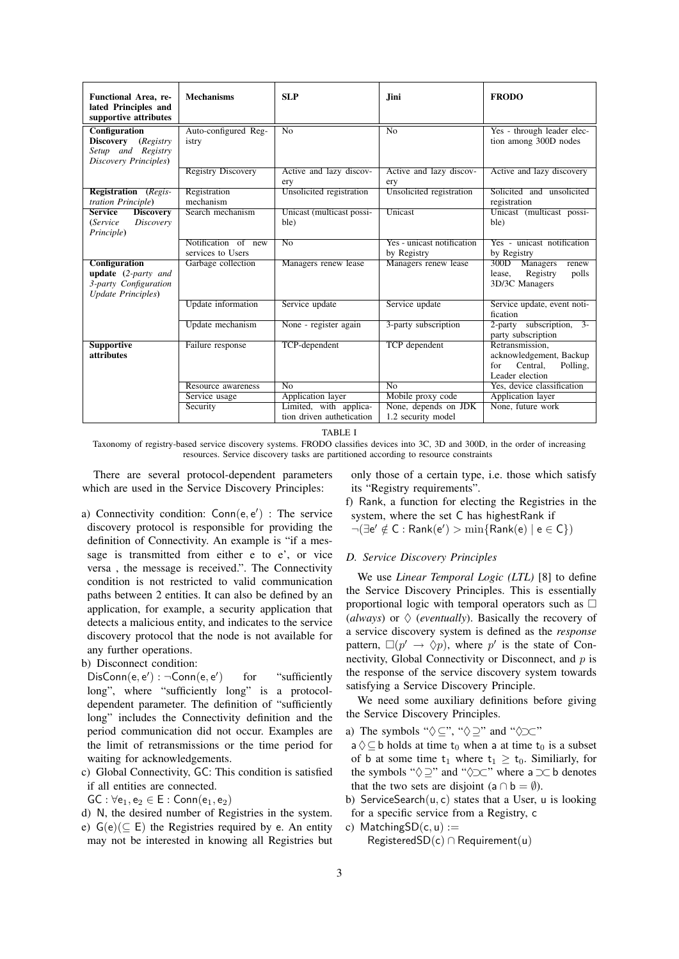| Functional Area, re-<br>lated Principles and<br>supportive attributes                         | <b>Mechanisms</b>                        | <b>SLP</b>                                          | <b>Jini</b>                                | <b>FRODO</b>                                                                                 |
|-----------------------------------------------------------------------------------------------|------------------------------------------|-----------------------------------------------------|--------------------------------------------|----------------------------------------------------------------------------------------------|
| Configuration<br>Discovery (Registry<br>Setup and Registry<br>Discovery Principles)           | Auto-configured Reg-<br>istry            | $\overline{No}$                                     | $\overline{N_{0}}$                         | Yes - through leader elec-<br>tion among 300D nodes                                          |
|                                                                                               | <b>Registry Discovery</b>                | Active and lazy discov-<br>ery                      | Active and lazy discov-<br>ery             | Active and lazy discovery                                                                    |
| <b>Registration</b> (Regis-<br>tration Principle)                                             | Registration<br>mechanism                | Unsolicited registration                            | Unsolicited registration                   | Solicited and unsolicited<br>registration                                                    |
| <b>Service</b><br><b>Discovery</b><br>Discovery<br>(Service<br>Principle)                     | Search mechanism                         | Unicast (multicast possi-<br>ble)                   | Unicast                                    | Unicast (multicast possi-<br>ble)                                                            |
|                                                                                               | Notification of new<br>services to Users | $\overline{No}$                                     | Yes - unicast notification<br>by Registry  | Yes - unicast notification<br>by Registry                                                    |
| <b>Configuration</b><br>update $(2$ -party and<br>3-party Configuration<br>Update Principles) | Garbage collection                       | Managers renew lease                                | Managers renew lease                       | 300D<br>Managers<br>renew<br>Registry<br>lease,<br>polls<br>3D/3C Managers                   |
|                                                                                               | Update information                       | Service update                                      | Service update                             | Service update, event noti-<br>fication                                                      |
|                                                                                               | Update mechanism                         | None - register again                               | 3-party subscription                       | subscription,<br>$3 -$<br>2-party<br>party subscription                                      |
| <b>Supportive</b><br><i>attributes</i>                                                        | Failure response                         | TCP-dependent                                       | TCP dependent                              | Retransmission.<br>acknowledgement, Backup<br>Central.<br>Polling,<br>for<br>Leader election |
|                                                                                               | Resource awareness                       | $\overline{No}$                                     | $\overline{No}$                            | Yes, device classification                                                                   |
|                                                                                               | Service usage                            | Application layer                                   | Mobile proxy code                          | <b>Application layer</b>                                                                     |
|                                                                                               | Security                                 | Limited, with applica-<br>tion driven authetication | None, depends on JDK<br>1.2 security model | None, future work                                                                            |

TABLE I

Taxonomy of registry-based service discovery systems. FRODO classifies devices into 3C, 3D and 300D, in the order of increasing resources. Service discovery tasks are partitioned according to resource constraints

There are several protocol-dependent parameters which are used in the Service Discovery Principles:

a) Connectivity condition:  $Conn(e, e')$  : The service discovery protocol is responsible for providing the definition of Connectivity. An example is "if a message is transmitted from either e to e', or vice versa , the message is received.". The Connectivity condition is not restricted to valid communication paths between 2 entities. It can also be defined by an application, for example, a security application that detects a malicious entity, and indicates to the service discovery protocol that the node is not available for any further operations.

b) Disconnect condition:

 $DisConn(e, e'): \neg Conn(e, e'$ for "sufficiently long", where "sufficiently long" is a protocoldependent parameter. The definition of "sufficiently long" includes the Connectivity definition and the period communication did not occur. Examples are the limit of retransmissions or the time period for waiting for acknowledgements.

c) Global Connectivity, GC: This condition is satisfied if all entities are connected.

 $GC : \forall e_1, e_2 \in E : Conn(e_1, e_2)$ 

d) N, the desired number of Registries in the system. e)  $G(e)(\subseteq E)$  the Registries required by e. An entity may not be interested in knowing all Registries but only those of a certain type, i.e. those which satisfy its "Registry requirements".

f) Rank, a function for electing the Registries in the system, where the set C has highestRank if

 $\neg(\exists e' \notin C : Rank(e') > min\{Rank(e) | e \in C\})$ 

# *D. Service Discovery Principles*

We use *Linear Temporal Logic (LTL)* [8] to define the Service Discovery Principles. This is essentially proportional logic with temporal operators such as  $\Box$ (*always*) or  $\Diamond$  (*eventually*). Basically the recovery of a service discovery system is defined as the *response* pattern,  $\square(p' \rightarrow \Diamond p)$ , where p' is the state of Connectivity, Global Connectivity or Disconnect, and  $p$  is the response of the service discovery system towards satisfying a Service Discovery Principle.

We need some auxiliary definitions before giving the Service Discovery Principles.

- a) The symbols " $\diamondsuit \subset$ ", " $\diamondsuit \supset$ " and " $\diamondsuit \supseteq$ "
- $a \Diamond \subseteq b$  holds at time  $t_0$  when a at time  $t_0$  is a subset of b at some time  $t_1$  where  $t_1 \geq t_0$ . Similiarly, for the symbols " $\Diamond \supseteq$ " and " $\Diamond \supseteq$ " where a  $\supset \subset b$  denotes that the two sets are disjoint (a  $\cap$  b =  $\emptyset$ ).
- b) ServiceSearch $(u, c)$  states that a User, u is looking for a specific service from a Registry, c
- c) MatchingSD $(c, u) :=$ RegisteredSD(c) ∩ Requirement(u)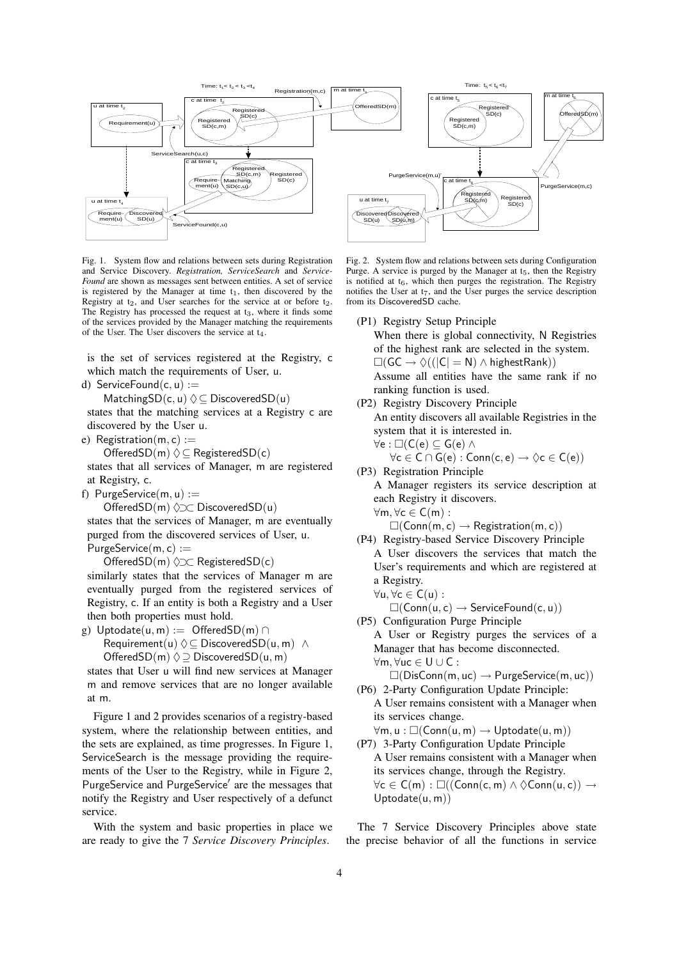

Fig. 1. System flow and relations between sets during Registration and Service Discovery. *Registration, ServiceSearch* and *Service-Found* are shown as messages sent between entities. A set of service is registered by the Manager at time  $t_1$ , then discovered by the Registry at  $t_2$ , and User searches for the service at or before  $t_2$ . The Registry has processed the request at  $t_3$ , where it finds some of the services provided by the Manager matching the requirements of the User. The User discovers the service at t4.

is the set of services registered at the Registry, c which match the requirements of User, u.

d) ServiceFound $(c, u) :=$ 

MatchingSD(c, u)  $\Diamond \subseteq$  DiscoveredSD(u)

states that the matching services at a Registry c are discovered by the User u.

e) Registration $(m, c) :=$ 

OfferedSD(m)  $\Diamond \subseteq$  RegisteredSD(c)

states that all services of Manager, m are registered at Registry, c.

f) PurgeService $(m, u) :=$ 

OfferedSD(m)  $\Diamond \supset \subset$  DiscoveredSD(u) states that the services of Manager, m are eventually purged from the discovered services of User, u.  $PurgeService(m, c) :=$ 

OfferedSD(m) ♦⊃⊂ RegisteredSD(c)

similarly states that the services of Manager m are eventually purged from the registered services of Registry, c. If an entity is both a Registry and a User then both properties must hold.

g) Uptodate $(u, m) :=$  OfferedSD $(m) \cap$ 

Requirement(u)  $\Diamond \subseteq \mathsf{DiscoveredSD}(u, m)$  ∧ OfferedSD(m)  $\Diamond \supseteq$  DiscoveredSD(u, m)

states that User u will find new services at Manager m and remove services that are no longer available at m.

Figure 1 and 2 provides scenarios of a registry-based system, where the relationship between entities, and the sets are explained, as time progresses. In Figure 1, ServiceSearch is the message providing the requirements of the User to the Registry, while in Figure 2, PurgeService and PurgeService' are the messages that notify the Registry and User respectively of a defunct service.

With the system and basic properties in place we are ready to give the 7 *Service Discovery Principles*.

Fig. 2. System flow and relations between sets during Configuration Purge. A service is purged by the Manager at  $t_5$ , then the Registry is notified at  $t_6$ , which then purges the registration. The Registry notifies the User at  $t_7$ , and the User purges the service description from its DiscoveredSD cache.

(P1) Registry Setup Principle

When there is global connectivity, N Registries of the highest rank are selected in the system.  $\square(GC \rightarrow \Diamond ((|C| = N) \land \mathsf{highestRank}))$ Assume all entities have the same rank if no ranking function is used.

(P2) Registry Discovery Principle

An entity discovers all available Registries in the system that it is interested in.

$$
\begin{array}{l} \forall e: \Box(C(e) \subseteq G(e) \wedge \\ \forall c \in C \cap G(e): Conn(c,e) \rightarrow \Diamond c \in C(e)) \end{array}
$$

(P3) Registration Principle A Manager registers its service description at each Registry it discovers.  $\forall m, \forall c \in C(m)$ :

 $\square$ (Conn(m, c)  $\rightarrow$  Registration(m, c))

(P4) Registry-based Service Discovery Principle A User discovers the services that match the User's requirements and which are registered at a Registry.

 $\forall$ u,  $\forall$ c ∈ C(u) :

 $\square$ (Conn(u, c)  $\rightarrow$  ServiceFound(c, u))

(P5) Configuration Purge Principle A User or Registry purges the services of a Manager that has become disconnected. ∀m, ∀uc ∈ U ∪ C :

 $\square(DisConn(m,uc)\rightarrow PurgeService(m,uc))$ 

- (P6) 2-Party Configuration Update Principle: A User remains consistent with a Manager when its services change.
	- $\forall m, u : \Box(Conn(u, m) \rightarrow Uptodate(u, m))$
- (P7) 3-Party Configuration Update Principle A User remains consistent with a Manager when its services change, through the Registry.  $\forall c \in C(m) : \Box((Conn(c,m) \land \Diamond Conn(u,c)) \rightarrow$  $Uptodate(u, m))$

The 7 Service Discovery Principles above state the precise behavior of all the functions in service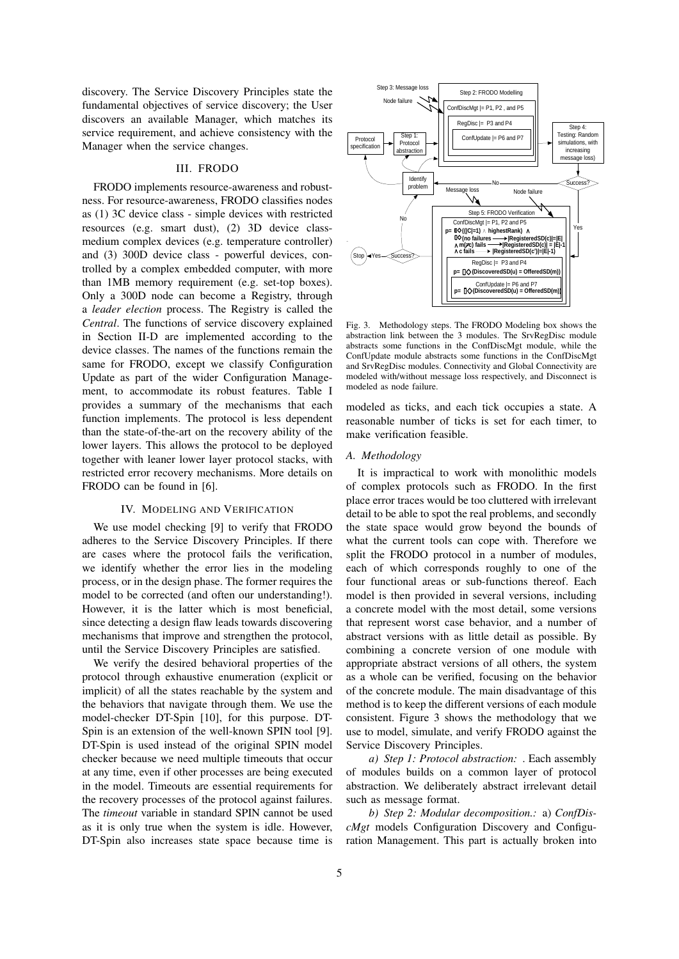discovery. The Service Discovery Principles state the fundamental objectives of service discovery; the User discovers an available Manager, which matches its service requirement, and achieve consistency with the Manager when the service changes.

#### III. FRODO

FRODO implements resource-awareness and robustness. For resource-awareness, FRODO classifies nodes as (1) 3C device class - simple devices with restricted resources (e.g. smart dust), (2) 3D device classmedium complex devices (e.g. temperature controller) and (3) 300D device class - powerful devices, controlled by a complex embedded computer, with more than 1MB memory requirement (e.g. set-top boxes). Only a 300D node can become a Registry, through a *leader election* process. The Registry is called the *Central*. The functions of service discovery explained in Section II-D are implemented according to the device classes. The names of the functions remain the same for FRODO, except we classify Configuration Update as part of the wider Configuration Management, to accommodate its robust features. Table I provides a summary of the mechanisms that each function implements. The protocol is less dependent than the state-of-the-art on the recovery ability of the lower layers. This allows the protocol to be deployed together with leaner lower layer protocol stacks, with restricted error recovery mechanisms. More details on FRODO can be found in [6].

## IV. MODELING AND VERIFICATION

We use model checking [9] to verify that FRODO adheres to the Service Discovery Principles. If there are cases where the protocol fails the verification, we identify whether the error lies in the modeling process, or in the design phase. The former requires the model to be corrected (and often our understanding!). However, it is the latter which is most beneficial, since detecting a design flaw leads towards discovering mechanisms that improve and strengthen the protocol, until the Service Discovery Principles are satisfied.

We verify the desired behavioral properties of the protocol through exhaustive enumeration (explicit or implicit) of all the states reachable by the system and the behaviors that navigate through them. We use the model-checker DT-Spin [10], for this purpose. DT-Spin is an extension of the well-known SPIN tool [9]. DT-Spin is used instead of the original SPIN model checker because we need multiple timeouts that occur at any time, even if other processes are being executed in the model. Timeouts are essential requirements for the recovery processes of the protocol against failures. The *timeout* variable in standard SPIN cannot be used as it is only true when the system is idle. However, DT-Spin also increases state space because time is



Fig. 3. Methodology steps. The FRODO Modeling box shows the abstraction link between the 3 modules. The SrvRegDisc module abstracts some functions in the ConfDiscMgt module, while the ConfUpdate module abstracts some functions in the ConfDiscMgt and SrvRegDisc modules. Connectivity and Global Connectivity are modeled with/without message loss respectively, and Disconnect is modeled as node failure.

modeled as ticks, and each tick occupies a state. A reasonable number of ticks is set for each timer, to make verification feasible.

#### *A. Methodology*

It is impractical to work with monolithic models of complex protocols such as FRODO. In the first place error traces would be too cluttered with irrelevant detail to be able to spot the real problems, and secondly the state space would grow beyond the bounds of what the current tools can cope with. Therefore we split the FRODO protocol in a number of modules, each of which corresponds roughly to one of the four functional areas or sub-functions thereof. Each model is then provided in several versions, including a concrete model with the most detail, some versions that represent worst case behavior, and a number of abstract versions with as little detail as possible. By combining a concrete version of one module with appropriate abstract versions of all others, the system as a whole can be verified, focusing on the behavior of the concrete module. The main disadvantage of this method is to keep the different versions of each module consistent. Figure 3 shows the methodology that we use to model, simulate, and verify FRODO against the Service Discovery Principles.

*a) Step 1: Protocol abstraction:* . Each assembly of modules builds on a common layer of protocol abstraction. We deliberately abstract irrelevant detail such as message format.

*b) Step 2: Modular decomposition.:* a) *ConfDiscMgt* models Configuration Discovery and Configuration Management. This part is actually broken into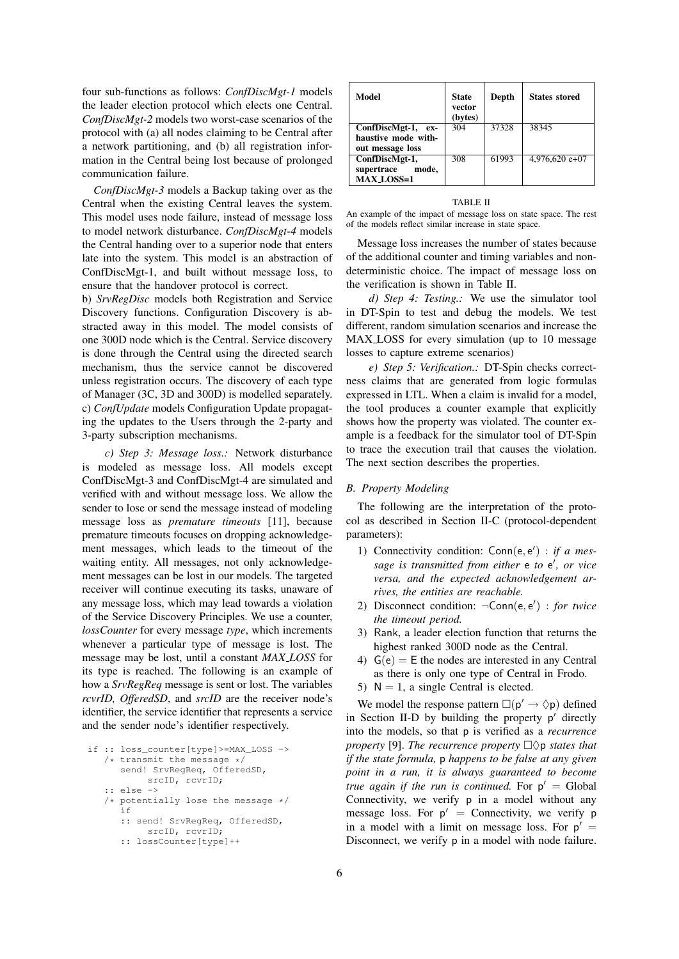four sub-functions as follows: *ConfDiscMgt-1* models the leader election protocol which elects one Central. *ConfDiscMgt-2* models two worst-case scenarios of the protocol with (a) all nodes claiming to be Central after a network partitioning, and (b) all registration information in the Central being lost because of prolonged communication failure.

*ConfDiscMgt-3* models a Backup taking over as the Central when the existing Central leaves the system. This model uses node failure, instead of message loss to model network disturbance. *ConfDiscMgt-4* models the Central handing over to a superior node that enters late into the system. This model is an abstraction of ConfDiscMgt-1, and built without message loss, to ensure that the handover protocol is correct.

b) *SrvRegDisc* models both Registration and Service Discovery functions. Configuration Discovery is abstracted away in this model. The model consists of one 300D node which is the Central. Service discovery is done through the Central using the directed search mechanism, thus the service cannot be discovered unless registration occurs. The discovery of each type of Manager (3C, 3D and 300D) is modelled separately. c) *ConfUpdate* models Configuration Update propagating the updates to the Users through the 2-party and 3-party subscription mechanisms.

*c) Step 3: Message loss.:* Network disturbance is modeled as message loss. All models except ConfDiscMgt-3 and ConfDiscMgt-4 are simulated and verified with and without message loss. We allow the sender to lose or send the message instead of modeling message loss as *premature timeouts* [11], because premature timeouts focuses on dropping acknowledgement messages, which leads to the timeout of the waiting entity. All messages, not only acknowledgement messages can be lost in our models. The targeted receiver will continue executing its tasks, unaware of any message loss, which may lead towards a violation of the Service Discovery Principles. We use a counter, *lossCounter* for every message *type*, which increments whenever a particular type of message is lost. The message may be lost, until a constant *MAX LOSS* for its type is reached. The following is an example of how a *SrvRegReq* message is sent or lost. The variables *rcvrID, OfferedSD*, and *srcID* are the receiver node's identifier, the service identifier that represents a service and the sender node's identifier respectively.

```
if :: loss_counter[type]>=MAX_LOSS ->
/* transmit the message */send! SrvRegReq, OfferedSD,
       srcID, rcvrID;
:: else ->
/* potentially lose the message */
  if
   :: send! SrvRegReq, OfferedSD,
        srcID, rcvrID;
   :: lossCounter[type]++
```

| Model               | State<br>vector<br>(bytes) | Depth | <b>States stored</b> |
|---------------------|----------------------------|-------|----------------------|
| ConfDiscMgt-1, ex-  | 304                        | 37328 | 38345                |
| haustive mode with- |                            |       |                      |
| out message loss    |                            |       |                      |
| ConfDiscMgt-1,      | 308                        | 61993 | $4,976,620$ e+07     |
| supertrace<br>mode, |                            |       |                      |
| <b>MAX LOSS=1</b>   |                            |       |                      |

#### TABLE II

An example of the impact of message loss on state space. The rest of the models reflect similar increase in state space.

Message loss increases the number of states because of the additional counter and timing variables and nondeterministic choice. The impact of message loss on the verification is shown in Table II.

*d) Step 4: Testing.:* We use the simulator tool in DT-Spin to test and debug the models. We test different, random simulation scenarios and increase the MAX LOSS for every simulation (up to 10 message losses to capture extreme scenarios)

*e) Step 5: Verification.:* DT-Spin checks correctness claims that are generated from logic formulas expressed in LTL. When a claim is invalid for a model, the tool produces a counter example that explicitly shows how the property was violated. The counter example is a feedback for the simulator tool of DT-Spin to trace the execution trail that causes the violation. The next section describes the properties.

#### *B. Property Modeling*

The following are the interpretation of the protocol as described in Section II-C (protocol-dependent parameters):

- 1) Connectivity condition: Conn(e, e') : *if a mes*sage is transmitted from either  $e$  to  $e'$ , or vice *versa, and the expected acknowledgement arrives, the entities are reachable.*
- 2) Disconnect condition: ¬Conn(e, e 0 ) : *for twice the timeout period.*
- 3) Rank, a leader election function that returns the highest ranked 300D node as the Central.
- 4)  $G(e) = E$  the nodes are interested in any Central as there is only one type of Central in Frodo.
- 5)  $N = 1$ , a single Central is elected.

We model the response pattern  $\square(\mathsf{p}' \to \lozenge \mathsf{p})$  defined in Section II-D by building the property  $p'$  directly into the models, so that p is verified as a *recurrence property* [9]. *The recurrence property*  $\Box \Diamond p$  *states that if the state formula,* p *happens to be false at any given point in a run, it is always guaranteed to become true again if the run is continued.* For  $p' = Global$ Connectivity, we verify p in a model without any message loss. For  $p' =$  Connectivity, we verify p in a model with a limit on message loss. For  $p' =$ Disconnect, we verify p in a model with node failure.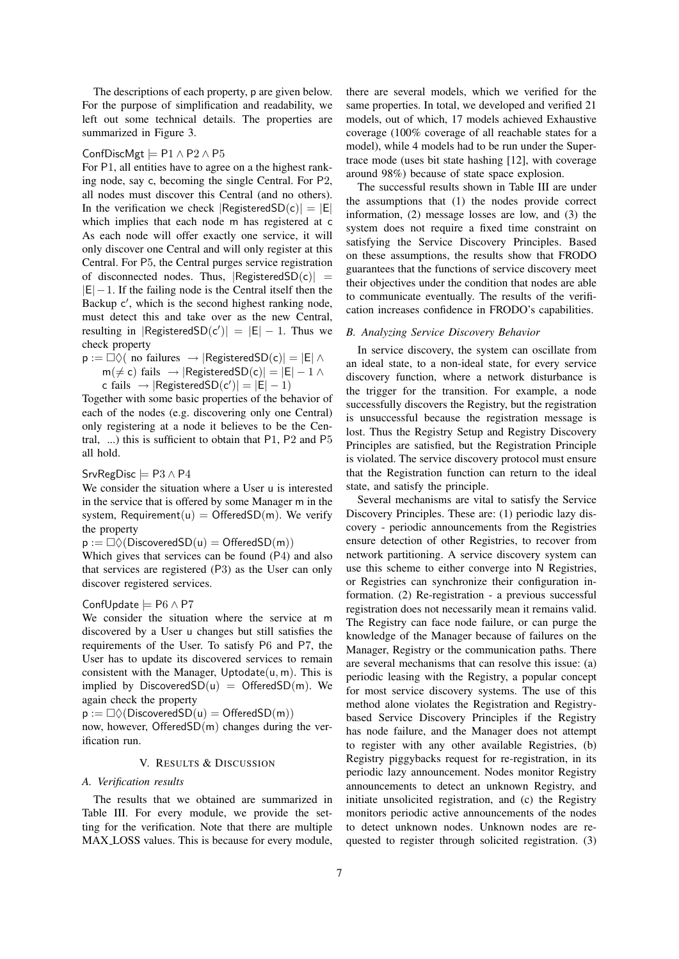The descriptions of each property, p are given below. For the purpose of simplification and readability, we left out some technical details. The properties are summarized in Figure 3.

#### ConfDiscMgt  $\models$  P1  $\land$  P2  $\land$  P5

For P1, all entities have to agree on a the highest ranking node, say c, becoming the single Central. For P2, all nodes must discover this Central (and no others). In the verification we check  $|RegisteredSD(c)| = |E|$ which implies that each node m has registered at c As each node will offer exactly one service, it will only discover one Central and will only register at this Central. For P5, the Central purges service registration of disconnected nodes. Thus,  $|RegisteredSD(c)|$  =  $|E|-1$ . If the failing node is the Central itself then the Backup c', which is the second highest ranking node, must detect this and take over as the new Central, resulting in  $|RegisteredSD(c')| = |E| - 1$ . Thus we check property

 $p := \Box \Diamond ($  no failures  $\rightarrow$  |RegisteredSD(c)| = |E| ∧  $m(\neq c)$  fails  $\rightarrow$  |RegisteredSD(c)| =  $|E| - 1 \land$ c fails  $\rightarrow$   $|RegisteredSD(c')| = |E| - 1$ 

Together with some basic properties of the behavior of each of the nodes (e.g. discovering only one Central) only registering at a node it believes to be the Central, ...) this is sufficient to obtain that P1, P2 and P5 all hold.

#### SrvRegDisc  $\models$  P3  $\land$  P4

We consider the situation where a User u is interested in the service that is offered by some Manager m in the system, Requirement(u) = OfferedSD(m). We verify the property

 $p := \Box \Diamond (DiscoveredSD(u) = OfferedSD(m))$ 

Which gives that services can be found (P4) and also that services are registered (P3) as the User can only discover registered services.

# ConfUpdate |= P6 ∧ P7

We consider the situation where the service at m discovered by a User u changes but still satisfies the requirements of the User. To satisfy P6 and P7, the User has to update its discovered services to remain consistent with the Manager, Uptodate $(u, m)$ . This is implied by Discovered $SD(u) = OfferedSD(m)$ . We again check the property

 $p := \Box \Diamond (DiscoveredSD(u) = OfferedSD(m))$ 

now, however, OfferedSD(m) changes during the verification run.

#### V. RESULTS & DISCUSSION

#### *A. Verification results*

The results that we obtained are summarized in Table III. For every module, we provide the setting for the verification. Note that there are multiple MAX LOSS values. This is because for every module,

there are several models, which we verified for the same properties. In total, we developed and verified 21 models, out of which, 17 models achieved Exhaustive coverage (100% coverage of all reachable states for a model), while 4 models had to be run under the Supertrace mode (uses bit state hashing [12], with coverage around 98%) because of state space explosion.

The successful results shown in Table III are under the assumptions that (1) the nodes provide correct information, (2) message losses are low, and (3) the system does not require a fixed time constraint on satisfying the Service Discovery Principles. Based on these assumptions, the results show that FRODO guarantees that the functions of service discovery meet their objectives under the condition that nodes are able to communicate eventually. The results of the verification increases confidence in FRODO's capabilities.

## *B. Analyzing Service Discovery Behavior*

In service discovery, the system can oscillate from an ideal state, to a non-ideal state, for every service discovery function, where a network disturbance is the trigger for the transition. For example, a node successfully discovers the Registry, but the registration is unsuccessful because the registration message is lost. Thus the Registry Setup and Registry Discovery Principles are satisfied, but the Registration Principle is violated. The service discovery protocol must ensure that the Registration function can return to the ideal state, and satisfy the principle.

Several mechanisms are vital to satisfy the Service Discovery Principles. These are: (1) periodic lazy discovery - periodic announcements from the Registries ensure detection of other Registries, to recover from network partitioning. A service discovery system can use this scheme to either converge into N Registries, or Registries can synchronize their configuration information. (2) Re-registration - a previous successful registration does not necessarily mean it remains valid. The Registry can face node failure, or can purge the knowledge of the Manager because of failures on the Manager, Registry or the communication paths. There are several mechanisms that can resolve this issue: (a) periodic leasing with the Registry, a popular concept for most service discovery systems. The use of this method alone violates the Registration and Registrybased Service Discovery Principles if the Registry has node failure, and the Manager does not attempt to register with any other available Registries, (b) Registry piggybacks request for re-registration, in its periodic lazy announcement. Nodes monitor Registry announcements to detect an unknown Registry, and initiate unsolicited registration, and (c) the Registry monitors periodic active announcements of the nodes to detect unknown nodes. Unknown nodes are requested to register through solicited registration. (3)